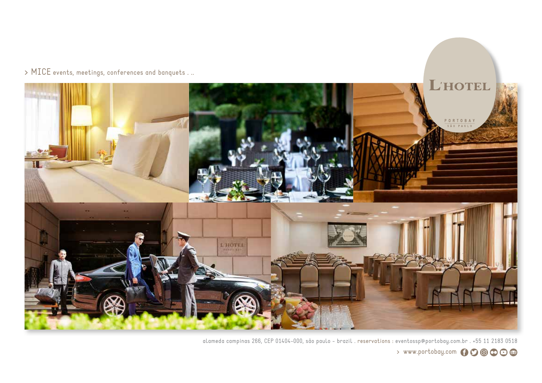



alameda campinas 266, CEP 01404-000, são paulo - brazil . reservations : eventossp@portobay.com.br . +55 11 2183 0518 > www.portobay.com 600000